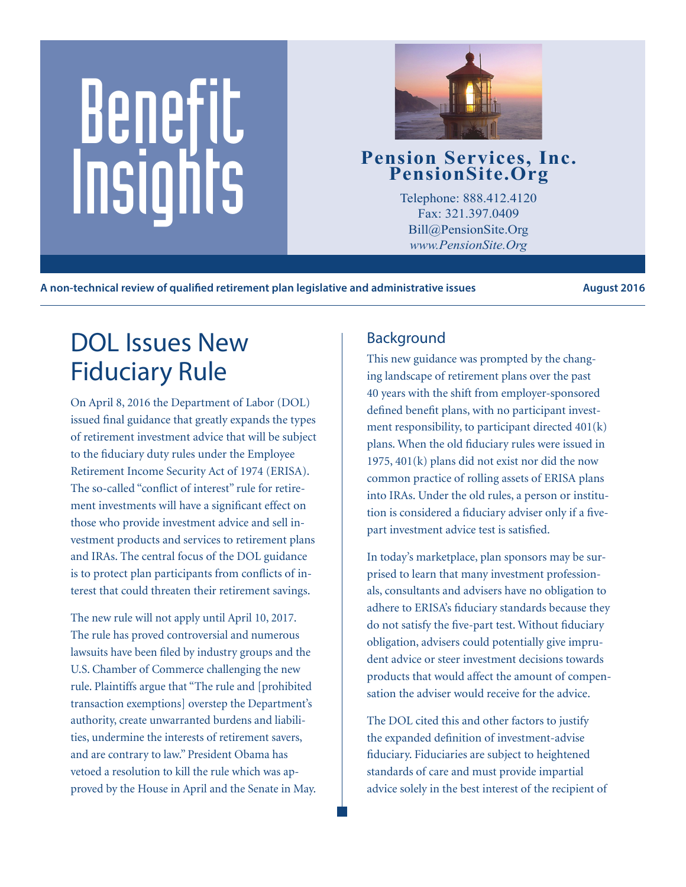# Benefit Pension Services, Inc.<br>
PensionSite.Org<br>
Telephone: 888.412.4120<br>
Fax: 321.397.0409<br>
Pill@BensionSite.Org<br>
Pill@BensionSite.Org



Telephone: 888.412.4120 Fax: 321.397.0409 Bill@PensionSite.Org *www.PensionSite.Org*

**A non-technical review of qualified retirement plan legislative and administrative issues August 2016**

## DOL Issues New Fiduciary Rule

On April 8, 2016 the Department of Labor (DOL) issued final guidance that greatly expands the types of retirement investment advice that will be subject to the fiduciary duty rules under the Employee Retirement Income Security Act of 1974 (ERISA). The so-called "conflict of interest" rule for retirement investments will have a significant effect on those who provide investment advice and sell investment products and services to retirement plans and IRAs. The central focus of the DOL guidance is to protect plan participants from conflicts of interest that could threaten their retirement savings.

The new rule will not apply until April 10, 2017. The rule has proved controversial and numerous lawsuits have been filed by industry groups and the U.S. Chamber of Commerce challenging the new rule. Plaintiffs argue that "The rule and [prohibited transaction exemptions] overstep the Department's authority, create unwarranted burdens and liabilities, undermine the interests of retirement savers, and are contrary to law." President Obama has vetoed a resolution to kill the rule which was approved by the House in April and the Senate in May.

### Background

This new guidance was prompted by the changing landscape of retirement plans over the past 40 years with the shift from employer-sponsored defined benefit plans, with no participant investment responsibility, to participant directed 401(k) plans. When the old fiduciary rules were issued in 1975, 401(k) plans did not exist nor did the now common practice of rolling assets of ERISA plans into IRAs. Under the old rules, a person or institution is considered a fiduciary adviser only if a fivepart investment advice test is satisfied.

In today's marketplace, plan sponsors may be surprised to learn that many investment professionals, consultants and advisers have no obligation to adhere to ERISA's fiduciary standards because they do not satisfy the five-part test. Without fiduciary obligation, advisers could potentially give imprudent advice or steer investment decisions towards products that would affect the amount of compensation the adviser would receive for the advice.

The DOL cited this and other factors to justify the expanded definition of investment-advise fiduciary. Fiduciaries are subject to heightened standards of care and must provide impartial advice solely in the best interest of the recipient of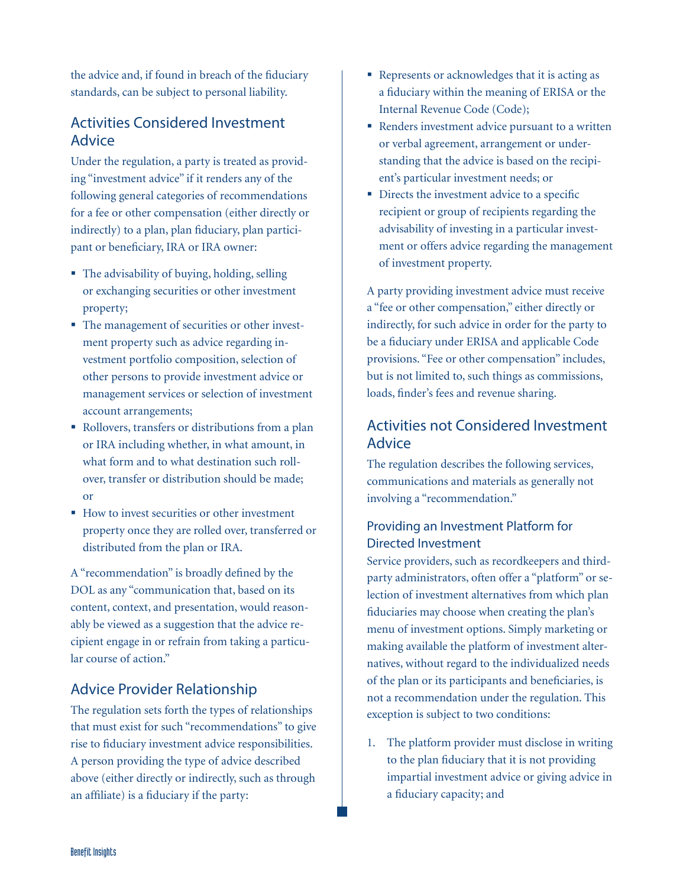the advice and, if found in breach of the fiduciary standards, can be subject to personal liability.

#### Activities Considered Investment Advice

Under the regulation, a party is treated as providing "investment advice" if it renders any of the following general categories of recommendations for a fee or other compensation (either directly or indirectly) to a plan, plan fiduciary, plan participant or beneficiary, IRA or IRA owner:

- The advisability of buying, holding, selling or exchanging securities or other investment property;
- The management of securities or other investment property such as advice regarding investment portfolio composition, selection of other persons to provide investment advice or management services or selection of investment account arrangements;
- Rollovers, transfers or distributions from a plan or IRA including whether, in what amount, in what form and to what destination such rollover, transfer or distribution should be made; or
- How to invest securities or other investment property once they are rolled over, transferred or distributed from the plan or IRA.

A "recommendation" is broadly defined by the DOL as any "communication that, based on its content, context, and presentation, would reasonably be viewed as a suggestion that the advice recipient engage in or refrain from taking a particular course of action."

#### Advice Provider Relationship

The regulation sets forth the types of relationships that must exist for such "recommendations" to give rise to fiduciary investment advice responsibilities. A person providing the type of advice described above (either directly or indirectly, such as through an affiliate) is a fiduciary if the party:

- Represents or acknowledges that it is acting as a fiduciary within the meaning of ERISA or the Internal Revenue Code (Code);
- Renders investment advice pursuant to a written or verbal agreement, arrangement or understanding that the advice is based on the recipient's particular investment needs; or
- Directs the investment advice to a specific recipient or group of recipients regarding the advisability of investing in a particular investment or offers advice regarding the management of investment property.

A party providing investment advice must receive a "fee or other compensation," either directly or indirectly, for such advice in order for the party to be a fiduciary under ERISA and applicable Code provisions. "Fee or other compensation" includes, but is not limited to, such things as commissions, loads, finder's fees and revenue sharing.

#### Activities not Considered Investment Advice

The regulation describes the following services, communications and materials as generally not involving a "recommendation."

#### Providing an Investment Platform for Directed Investment

Service providers, such as recordkeepers and thirdparty administrators, often offer a "platform" or selection of investment alternatives from which plan fiduciaries may choose when creating the plan's menu of investment options. Simply marketing or making available the platform of investment alternatives, without regard to the individualized needs of the plan or its participants and beneficiaries, is not a recommendation under the regulation. This exception is subject to two conditions:

1. The platform provider must disclose in writing to the plan fiduciary that it is not providing impartial investment advice or giving advice in a fiduciary capacity; and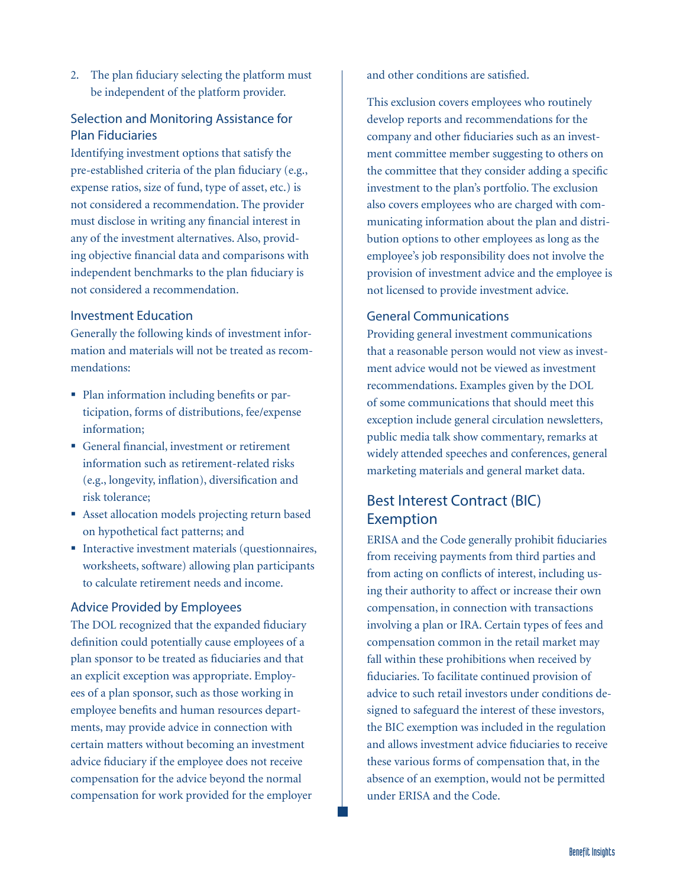2. The plan fiduciary selecting the platform must be independent of the platform provider.

#### Selection and Monitoring Assistance for Plan Fiduciaries

Identifying investment options that satisfy the pre-established criteria of the plan fiduciary (e.g., expense ratios, size of fund, type of asset, etc.) is not considered a recommendation. The provider must disclose in writing any financial interest in any of the investment alternatives. Also, providing objective financial data and comparisons with independent benchmarks to the plan fiduciary is not considered a recommendation.

#### Investment Education

Generally the following kinds of investment information and materials will not be treated as recommendations:

- Plan information including benefits or participation, forms of distributions, fee/expense information;
- General financial, investment or retirement information such as retirement-related risks (e.g., longevity, inflation), diversification and risk tolerance;
- Asset allocation models projecting return based on hypothetical fact patterns; and
- **Interactive investment materials (questionnaires,** worksheets, software) allowing plan participants to calculate retirement needs and income.

#### Advice Provided by Employees

The DOL recognized that the expanded fiduciary definition could potentially cause employees of a plan sponsor to be treated as fiduciaries and that an explicit exception was appropriate. Employees of a plan sponsor, such as those working in employee benefits and human resources departments, may provide advice in connection with certain matters without becoming an investment advice fiduciary if the employee does not receive compensation for the advice beyond the normal compensation for work provided for the employer and other conditions are satisfied.

This exclusion covers employees who routinely develop reports and recommendations for the company and other fiduciaries such as an investment committee member suggesting to others on the committee that they consider adding a specific investment to the plan's portfolio. The exclusion also covers employees who are charged with communicating information about the plan and distribution options to other employees as long as the employee's job responsibility does not involve the provision of investment advice and the employee is not licensed to provide investment advice.

#### General Communications

Providing general investment communications that a reasonable person would not view as investment advice would not be viewed as investment recommendations. Examples given by the DOL of some communications that should meet this exception include general circulation newsletters, public media talk show commentary, remarks at widely attended speeches and conferences, general marketing materials and general market data.

#### Best Interest Contract (BIC) Exemption

ERISA and the Code generally prohibit fiduciaries from receiving payments from third parties and from acting on conflicts of interest, including using their authority to affect or increase their own compensation, in connection with transactions involving a plan or IRA. Certain types of fees and compensation common in the retail market may fall within these prohibitions when received by fiduciaries. To facilitate continued provision of advice to such retail investors under conditions designed to safeguard the interest of these investors, the BIC exemption was included in the regulation and allows investment advice fiduciaries to receive these various forms of compensation that, in the absence of an exemption, would not be permitted under ERISA and the Code.